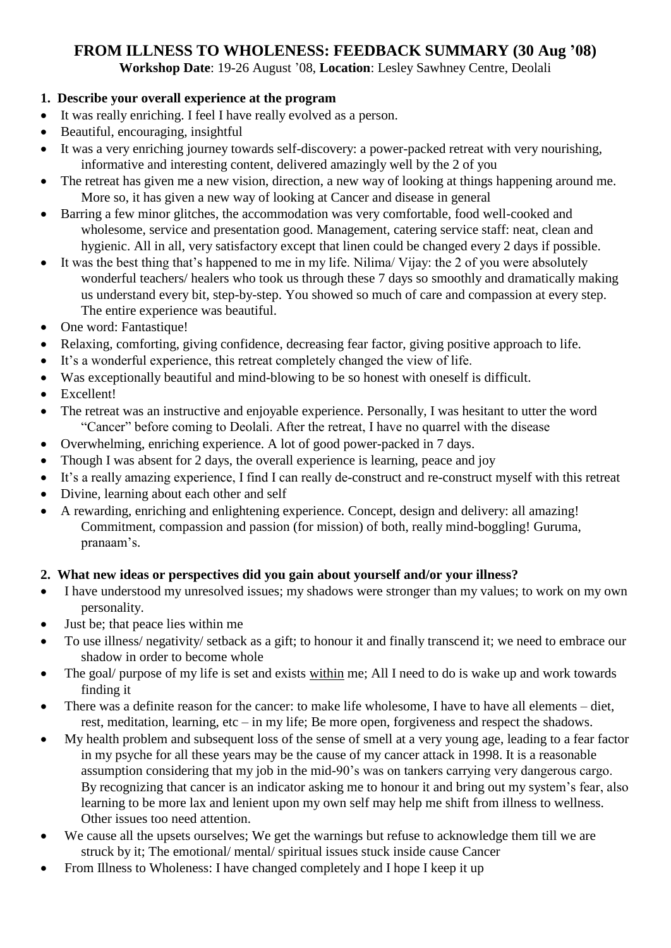# **FROM ILLNESS TO WHOLENESS: FEEDBACK SUMMARY (30 Aug '08)**

**Workshop Date**: 19-26 August "08, **Location**: Lesley Sawhney Centre, Deolali

### **1. Describe your overall experience at the program**

- It was really enriching. I feel I have really evolved as a person.
- Beautiful, encouraging, insightful
- It was a very enriching journey towards self-discovery: a power-packed retreat with very nourishing, informative and interesting content, delivered amazingly well by the 2 of you
- The retreat has given me a new vision, direction, a new way of looking at things happening around me. More so, it has given a new way of looking at Cancer and disease in general
- Barring a few minor glitches, the accommodation was very comfortable, food well-cooked and wholesome, service and presentation good. Management, catering service staff: neat, clean and hygienic. All in all, very satisfactory except that linen could be changed every 2 days if possible.
- It was the best thing that"s happened to me in my life. Nilima/ Vijay: the 2 of you were absolutely wonderful teachers/ healers who took us through these 7 days so smoothly and dramatically making us understand every bit, step-by-step. You showed so much of care and compassion at every step. The entire experience was beautiful.
- One word: Fantastique!
- Relaxing, comforting, giving confidence, decreasing fear factor, giving positive approach to life.
- It"s a wonderful experience, this retreat completely changed the view of life.
- Was exceptionally beautiful and mind-blowing to be so honest with oneself is difficult.
- Excellent!
- The retreat was an instructive and enjoyable experience. Personally, I was hesitant to utter the word "Cancer" before coming to Deolali. After the retreat, I have no quarrel with the disease
- Overwhelming, enriching experience. A lot of good power-packed in 7 days.
- Though I was absent for 2 days, the overall experience is learning, peace and joy
- It"s a really amazing experience, I find I can really de-construct and re-construct myself with this retreat
- Divine, learning about each other and self
- A rewarding, enriching and enlightening experience. Concept, design and delivery: all amazing! Commitment, compassion and passion (for mission) of both, really mind-boggling! Guruma, pranaam's.

### **2. What new ideas or perspectives did you gain about yourself and/or your illness?**

- I have understood my unresolved issues; my shadows were stronger than my values; to work on my own personality.
- Just be; that peace lies within me
- To use illness/ negativity/ setback as a gift; to honour it and finally transcend it; we need to embrace our shadow in order to become whole
- The goal/ purpose of my life is set and exists within me; All I need to do is wake up and work towards finding it
- There was a definite reason for the cancer: to make life wholesome, I have to have all elements diet, rest, meditation, learning, etc – in my life; Be more open, forgiveness and respect the shadows.
- My health problem and subsequent loss of the sense of smell at a very young age, leading to a fear factor in my psyche for all these years may be the cause of my cancer attack in 1998. It is a reasonable assumption considering that my job in the mid-90's was on tankers carrying very dangerous cargo. By recognizing that cancer is an indicator asking me to honour it and bring out my system's fear, also learning to be more lax and lenient upon my own self may help me shift from illness to wellness. Other issues too need attention.
- We cause all the upsets ourselves; We get the warnings but refuse to acknowledge them till we are struck by it; The emotional/ mental/ spiritual issues stuck inside cause Cancer
- From Illness to Wholeness: I have changed completely and I hope I keep it up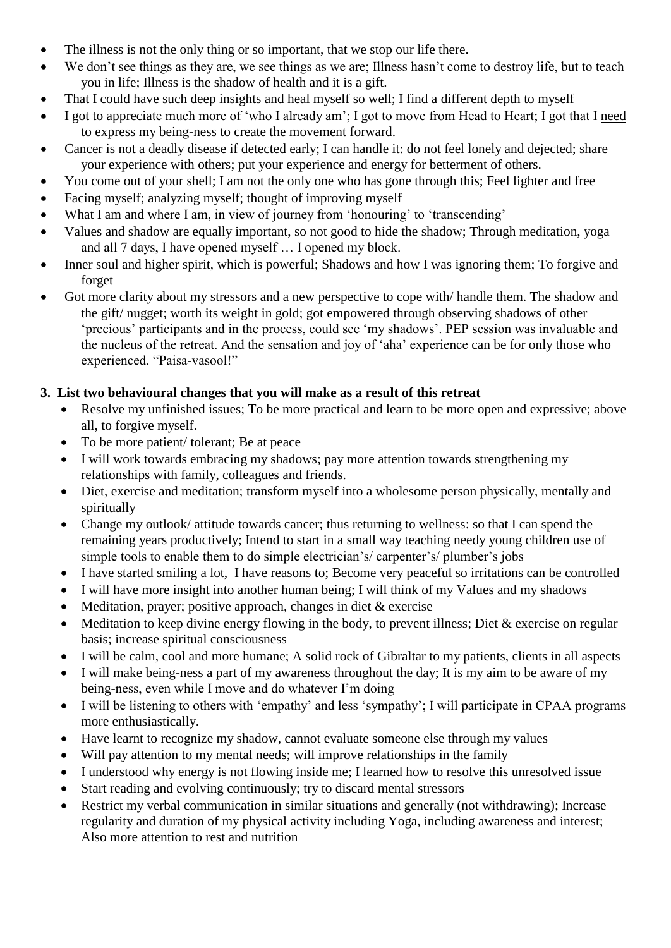- The illness is not the only thing or so important, that we stop our life there.
- We don't see things as they are, we see things as we are; Illness hasn't come to destroy life, but to teach you in life; Illness is the shadow of health and it is a gift.
- That I could have such deep insights and heal myself so well; I find a different depth to myself
- I got to appreciate much more of "who I already am"; I got to move from Head to Heart; I got that I need to express my being-ness to create the movement forward.
- Cancer is not a deadly disease if detected early; I can handle it: do not feel lonely and dejected; share your experience with others; put your experience and energy for betterment of others.
- You come out of your shell; I am not the only one who has gone through this; Feel lighter and free
- Facing myself; analyzing myself; thought of improving myself
- What I am and where I am, in view of journey from 'honouring' to 'transcending'
- Values and shadow are equally important, so not good to hide the shadow; Through meditation, yoga and all 7 days, I have opened myself … I opened my block.
- Inner soul and higher spirit, which is powerful; Shadows and how I was ignoring them; To forgive and forget
- Got more clarity about my stressors and a new perspective to cope with/ handle them. The shadow and the gift/ nugget; worth its weight in gold; got empowered through observing shadows of other "precious" participants and in the process, could see "my shadows". PEP session was invaluable and the nucleus of the retreat. And the sensation and joy of "aha" experience can be for only those who experienced. "Paisa-vasool!"

### **3. List two behavioural changes that you will make as a result of this retreat**

- Resolve my unfinished issues; To be more practical and learn to be more open and expressive; above all, to forgive myself.
- To be more patient/ tolerant; Be at peace
- I will work towards embracing my shadows; pay more attention towards strengthening my relationships with family, colleagues and friends.
- Diet, exercise and meditation; transform myself into a wholesome person physically, mentally and spiritually
- Change my outlook/ attitude towards cancer; thus returning to wellness: so that I can spend the remaining years productively; Intend to start in a small way teaching needy young children use of simple tools to enable them to do simple electrician's/ carpenter's/ plumber's jobs
- I have started smiling a lot, I have reasons to; Become very peaceful so irritations can be controlled
- I will have more insight into another human being; I will think of my Values and my shadows
- Meditation, prayer; positive approach, changes in diet & exercise
- Meditation to keep divine energy flowing in the body, to prevent illness; Diet  $&$  exercise on regular basis; increase spiritual consciousness
- I will be calm, cool and more humane; A solid rock of Gibraltar to my patients, clients in all aspects
- I will make being-ness a part of my awareness throughout the day; It is my aim to be aware of my being-ness, even while I move and do whatever I"m doing
- I will be listening to others with "empathy" and less "sympathy"; I will participate in CPAA programs more enthusiastically.
- Have learnt to recognize my shadow, cannot evaluate someone else through my values
- Will pay attention to my mental needs; will improve relationships in the family
- I understood why energy is not flowing inside me; I learned how to resolve this unresolved issue
- Start reading and evolving continuously; try to discard mental stressors
- Restrict my verbal communication in similar situations and generally (not withdrawing); Increase regularity and duration of my physical activity including Yoga, including awareness and interest; Also more attention to rest and nutrition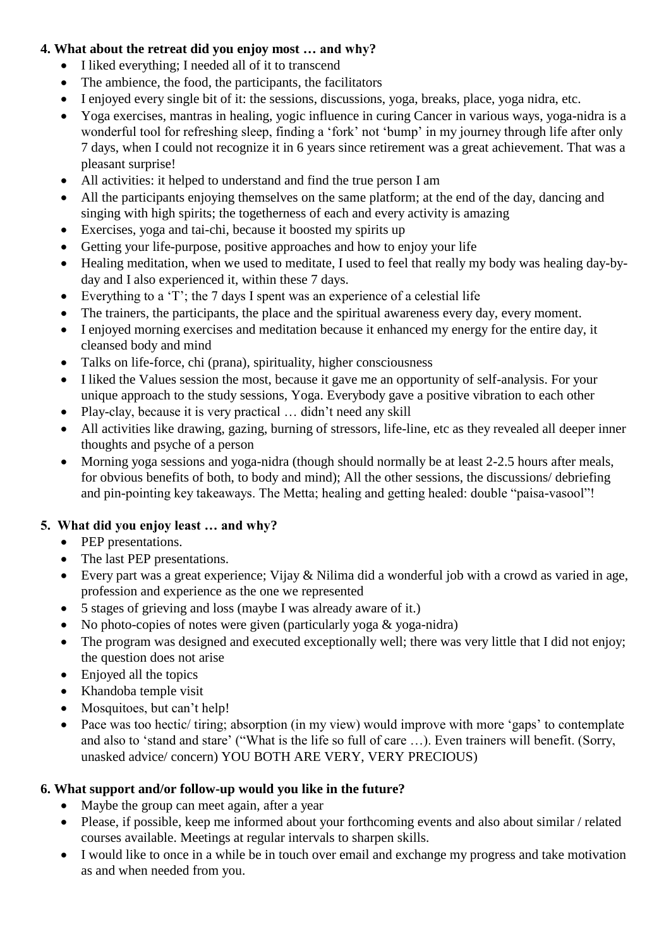### **4. What about the retreat did you enjoy most … and why?**

- I liked everything; I needed all of it to transcend
- The ambience, the food, the participants, the facilitators
- I enjoyed every single bit of it: the sessions, discussions, yoga, breaks, place, yoga nidra, etc.
- Yoga exercises, mantras in healing, yogic influence in curing Cancer in various ways, yoga-nidra is a wonderful tool for refreshing sleep, finding a 'fork' not 'bump' in my journey through life after only 7 days, when I could not recognize it in 6 years since retirement was a great achievement. That was a pleasant surprise!
- All activities: it helped to understand and find the true person I am
- All the participants enjoying themselves on the same platform; at the end of the day, dancing and singing with high spirits; the togetherness of each and every activity is amazing
- Exercises, yoga and tai-chi, because it boosted my spirits up
- Getting your life-purpose, positive approaches and how to enjoy your life
- Healing meditation, when we used to meditate, I used to feel that really my body was healing day-byday and I also experienced it, within these 7 days.
- Everything to a 'T'; the 7 days I spent was an experience of a celestial life
- The trainers, the participants, the place and the spiritual awareness every day, every moment.
- I enjoyed morning exercises and meditation because it enhanced my energy for the entire day, it cleansed body and mind
- Talks on life-force, chi (prana), spirituality, higher consciousness
- I liked the Values session the most, because it gave me an opportunity of self-analysis. For your unique approach to the study sessions, Yoga. Everybody gave a positive vibration to each other
- Play-clay, because it is very practical ... didn't need any skill
- All activities like drawing, gazing, burning of stressors, life-line, etc as they revealed all deeper inner thoughts and psyche of a person
- Morning yoga sessions and yoga-nidra (though should normally be at least 2-2.5 hours after meals, for obvious benefits of both, to body and mind); All the other sessions, the discussions/ debriefing and pin-pointing key takeaways. The Metta; healing and getting healed: double "paisa-vasool"!

## **5. What did you enjoy least … and why?**

- PEP presentations.
- The last PEP presentations.
- Every part was a great experience; Vijay & Nilima did a wonderful job with a crowd as varied in age, profession and experience as the one we represented
- 5 stages of grieving and loss (maybe I was already aware of it.)
- No photo-copies of notes were given (particularly yoga & yoga-nidra)
- The program was designed and executed exceptionally well; there was very little that I did not enjoy; the question does not arise
- Enjoyed all the topics
- Khandoba temple visit
- Mosquitoes, but can't help!
- Pace was too hectic/ tiring; absorption (in my view) would improve with more 'gaps' to contemplate and also to 'stand and stare' ("What is the life so full of care ...). Even trainers will benefit. (Sorry, unasked advice/ concern) YOU BOTH ARE VERY, VERY PRECIOUS)

## **6. What support and/or follow-up would you like in the future?**

- Maybe the group can meet again, after a year
- Please, if possible, keep me informed about your forthcoming events and also about similar / related courses available. Meetings at regular intervals to sharpen skills.
- I would like to once in a while be in touch over email and exchange my progress and take motivation as and when needed from you.